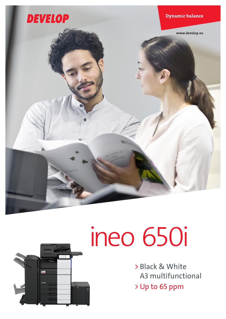



# ineo 650i

> Black & White A3 multifunctional > Up to 65 ppm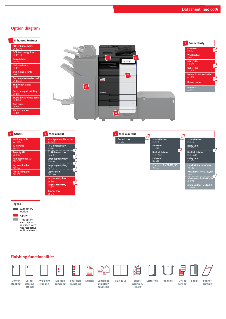## Option diagram





| 4 | Media Input                          |           |
|---|--------------------------------------|-----------|
|   | Intelligent media sensor<br>$IM-102$ |           |
|   | 1 x Universal tray<br>PC-116         | OR        |
|   | 2 x Universal tray<br>PC-216         | OR        |
|   | Large capacity tray<br>$PC-416$      | <b>OR</b> |
|   | Large capacity tray<br>$PC-417$      |           |
|   | Copier desk<br><b>DK-516x</b>        | <b>OR</b> |
|   | Large capacity tray<br>$111-302$     |           |
|   | OR<br>Large capacity tray<br>LU-207  |           |
|   | Banner tray<br>BT-C1e                |           |





## Finishing functionalities







 $\bullet$ 











stapling

stapling Corner stapling (offline)

Two-point Two-hole punching

Duplex Combined Corner Corner Two-point Two-hole Four-hole Duplex Combined Half-fold

insertion, report

Sheet Letterfold Booklet

punching

Four-hole

 $\ddot{\bullet}$ 

mixplex/ mixmedia

sorting

Offset Z-fold

Banner printing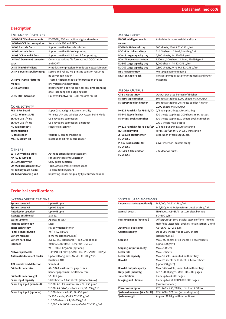# **Description**

### ENHANCED FEATURES

| LK-102v3 PDF enhancements          | PDF/A(1b), PDF encryption, digital signature                   |
|------------------------------------|----------------------------------------------------------------|
| LK-105v4 OCR text recognition      | Searchable PDF and PPTX                                        |
| <b>LK-106 Barcode fonts</b>        | Supports native barcode printing                               |
| <b>LK-107 Unicode fonts</b>        | Supports native Unicode printing                               |
| LK-108 OCR A and B fonts           | Supports native OCR A and B font printing                      |
| <b>LK-110v2 Document converter</b> | Generates various file formats incl. DOCX, XLSX                |
| pack                               | and PDF/A                                                      |
| LK-111 ThinPrint® client           | Print data compression for reduced network impact              |
| LK-114 Serverless pull printing    | Secure and Follow Me printing solution requiring               |
|                                    | no server application                                          |
| <b>LK-115v2 Trusted Platform</b>   | Trusted Platform Module for protection of data                 |
| Module                             | encryption and decryption                                      |
| <b>LK-116 Antivirus</b>            | Bitdefender <sup>®</sup> antivirus provides real time scanning |
|                                    | of all incoming and outgoing data                              |
| <b>LK-117 FOIP activation</b>      | Fax over IP networks (T.38), requires fax kit                  |
|                                    |                                                                |

#### **CONNECTIVITY**

| Super G3 fax, digital fax functionality         |
|-------------------------------------------------|
| Wireless LAN and wireless LAN Access Point Mode |
| USB keyboard connection                         |
| USB keyboard connection; Bluetooth              |
| Finger vein scanner                             |
|                                                 |
| Various ID card technologies                    |
| Installation kit for ID card reader             |
|                                                 |

#### **OTHERS**

| <b>00000000000000</b>         |                                                  |
|-------------------------------|--------------------------------------------------|
| WT-506 Working table          | Authentication device placement                  |
| KP-102 10-Key pad             | For use instead of touchscreen                   |
| SC-509 Security kit           | Copy guard function                              |
| <b>EM-908 Replacement SSD</b> | 1TB SSD to increase storage space                |
| KH-102 Keyboard holder        | To place USB keyboard                            |
| CU-102 Air cleaning unit      | Improving indoor air quality by reduced emission |

| <b>MEDIA INPUT</b>                                         |                                                      |
|------------------------------------------------------------|------------------------------------------------------|
| IM-102 Intelligent media                                   | Autodetects paper weight and type                    |
| sensor                                                     |                                                      |
| PC-116 1x Universal tray                                   | 500 sheets, A5-A3, 52-256 g/m <sup>2</sup>           |
| PC-216 2x Universal tray                                   | 2x 500 sheets, A5-A3, 52-256 g/m <sup>2</sup>        |
| PC-416 Large capacity tray                                 | 2,500 sheets, A4, 52-256 g/m <sup>2</sup>            |
| PC-417 Large capacity tray                                 | 1,500 + 1,000 sheets, A5-A4, 52-256 g/m <sup>2</sup> |
| LU-302 Large capacity tray                                 | 3,000 sheets, A4, 52-256 g/m <sup>2</sup>            |
| LU-207 Large capacity tray                                 | 2,500 sheets, A4-SRA3, 52-256 g/m <sup>2</sup>       |
| <b>BT-C1e Banner tray</b>                                  | Multipage banner feeding                             |
| DK-516x Copier desk                                        | Provides storage space for print media and other     |
|                                                            | materials                                            |
|                                                            |                                                      |
| <b>MEDIA OUTPUT</b>                                        |                                                      |
| OT-513 Output tray                                         | Output tray used instead of finisher                 |
| FS-539 Staple finisher                                     | 50 sheets stapling; 3,200 sheets max. output         |
| FS-539SD Booklet finisher                                  |                                                      |
|                                                            | 50 sheets stapling; 20 sheets booklet finisher;      |
|                                                            | 2,200 sheets max. output                             |
| PK-524 Punch kit for FS-539/SD                             | 2/4 hole punching; autoswitching                     |
|                                                            | 100 sheets stapling; 3,200 sheets max. output        |
| FS-540 Staple finisher<br><b>FS-540SD Booklet finisher</b> | 100 sheets stapling; 20 sheets booklet finisher;     |
|                                                            | 2,700 sheets max. output                             |
| PK-526 Punch kit for FS-540/SD                             | 2/4 hole punching; autoswitching                     |
| RU-513 Relay unit                                          | For FS-539/SD or FS-540/SD installation              |

Cover insertion; post finishing

Z-fold for A3 prints

#### System Specifications

FS-540/SD

FS-540/SD

FS-540/SD

PI-507 Post inserter for

ZU-609 Z-fold unit for

| 1x 3,000; A4; 52-256 g/m <sup>2</sup>                    |
|----------------------------------------------------------|
| 1x 2,500; A4-SRA3; custom sizes; 52-256 g/m <sup>2</sup> |
| 150 sheets; A6-SRA3; custom sizes, banner;               |
| $60 - 300$ g/m <sup>2</sup>                              |
| Offset; Group; Sort; Staple; Staple (offline); Punch;    |
| Half-fold; Letter-fold; Booklet; Post insertion; Z-fold  |
| A6-SRA3; 52-256 g/m <sup>2</sup>                         |
| Up to 250 sheets / up to 3,300 sheets                    |
| (standard/max)                                           |
| Max. 100 sheets or 98 sheets + 2 cover sheets            |
| (up to 300 $g/m^2$ )                                     |
| Max. 200 sets                                            |
| Max. 3 sheets                                            |
| Max. 50 sets; unlimited (without tray)                   |
| Max. 20 sheets or 19 sheets +1 cover sheet               |
| (up to 300 g/m <sup>2</sup> )                            |
| Max. 35 booklets; unlimited (without tray)               |
| Rec. 53,000 pages; Max. <sup>2</sup> 200,000 pages       |
| Black up to 24,000 pages                                 |
| Black up to 260,000/1,000,000 pages                      |
| (drum/developer)                                         |
| 220-240 V / 50/60 Hz; Less than 2.00 kW                  |
| 615 x 688 x 961 mm (without options)                     |
| Approx. 98.0 kg (without options)                        |
|                                                          |

# Technical specifications

#### System Specifications

| System speed A4                  | Up to 65 ppm                                               |
|----------------------------------|------------------------------------------------------------|
| System speed A3                  | Up to 32 ppm                                               |
| Autoduplex speed A4              | Up to 65 ppm                                               |
| 1st page out time A4             | $2.8$ sec.                                                 |
| Warm-up time                     | Approx. 15 sec. <sup>1</sup>                               |
| Imaging technology               | Laser                                                      |
| <b>Toner technology</b>          | HD polymerised toner                                       |
| Panel size/resolution            | 10.1" / 1024 x 600                                         |
| System memory                    | 8,192 MB (standard/max)                                    |
| System hard drive                | 256 GB SSD (standard) / 1TB SSD (optional)                 |
| Interface                        | 10/100/1,000-Base-T Ethernet; USB 2.0;                     |
|                                  | Wi-Fi 802.11 b/g/n/ac (optional)                           |
| Network protocols                | TCP/IP (IPv4 / IPv6); SMB; LPD; IPP; SNMP; HTTP(S)         |
| <b>Automatic document feeder</b> | Up to 300 originals; A6-A3; 35-210 g/m <sup>2</sup> ;      |
|                                  | Dualscan ADF                                               |
| <b>ADF double feed detection</b> | Standard                                                   |
| Printable paper size             | A6-SRA3; customized paper sizes,                           |
|                                  | banner paper max. 1,200 x 297 mm                           |
| Printable paper weight           | 52-300 g/m <sup>2</sup>                                    |
| Paper input capacity             | 1,150 sheets / 6,650 sheets (standard/max)                 |
| Paper tray input (standard)      | 1x 500; A6-A3; custom sizes; 52-256 g/m <sup>2</sup>       |
|                                  | 1x 500; A5-SRA3; custom sizes; 52-256 g/m <sup>2</sup>     |
| Paper tray input (optional)      | 1x 500 sheets; A5-A3; 52-256 g/m <sup>2</sup>              |
|                                  | 2x 500 sheets; A5-A3; 52-256 g/m <sup>2</sup>              |
|                                  | 1x 2,500 sheets; A4; 52-256 g/m <sup>2</sup>               |
|                                  | 1x 1,500 + 1x 1,000 sheets; A5-A4; 52-256 g/m <sup>2</sup> |